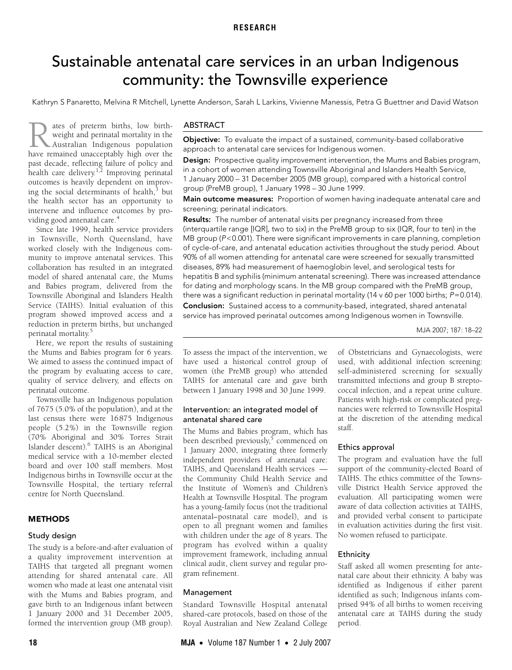# <span id="page-0-0"></span>Sustainable antenatal care services in an urban Indigenous community: the Townsville experience

Kathryn S Panaretto, Melvina R Mitchell, Lynette Anderson, Sarah L Larkins, Vivienne Manessis, Petra G Buettner and David Watson

Ing the social determinants of health, but<br>the health sector has an opportunity to eann sector nas an opportunt intervene and influence outcomes by pro-viding good antenatal care.<sup>[4](#page-4-2)</sup> ates of preterm births, low birthweight and perinatal mortality in the Australian Indigenous population **have set of preterm births, low birth-**<br>weight and perinatal mortality in the<br>Australian Indigenous population<br>have remained unacceptably high over the past decade, reflecting failure of policy and health care delivery.<sup>[1](#page-3-0)[,2](#page-4-0)</sup> Improving perinatal outcomes is heavily dependent on improv-ing the social determinants of health,<sup>[3](#page-4-1)</sup> but

Since late 1999, health service providers in Townsville, North Queensland, have worked closely with the Indigenous community to improve antenatal services. This collaboration has resulted in an integrated model of shared antenatal care, the Mums and Babies program, delivered from the Townsville Aboriginal and Islanders Health Service (TAIHS). Initial evaluation of this program showed improved access and a reduction in preterm births, but unchanged perinatal mortality[.5](#page-4-3)

Here, we report the results of sustaining the Mums and Babies program for 6 years. We aimed to assess the continued impact of the program by evaluating access to care, quality of service delivery, and effects on perinatal outcome.

Townsville has an Indigenous population of 7675 (5.0% of the population), and at the last census there were 16875 Indigenous people (5.2%) in the Townsville region (70% Aboriginal and 30% Torres Strait Islander descent).<sup>[6](#page-4-4)</sup> TAIHS is an Aboriginal medical service with a 10-member elected board and over 100 staff members. Most Indigenous births in Townsville occur at the Townsville Hospital, the tertiary referral centre for North Queensland.

## **METHODS**

#### Study design

The study is a before-and-after evaluation of a quality improvement intervention at TAIHS that targeted all pregnant women attending for shared antenatal care. All women who made at least one antenatal visit with the Mums and Babies program, and gave birth to an Indigenous infant between 1 January 2000 and 31 December 2005, formed the intervention group (MB group).

#### ABSTRACT

Objective: To evaluate the impact of a sustained, community-based collaborative approach to antenatal care services for Indigenous women.

Design: Prospective quality improvement intervention, the Mums and Babies program, in a cohort of women attending Townsville Aboriginal and Islanders Health Service, 1 January 2000 – 31 December 2005 (MB group), compared with a historical control group (PreMB group), 1 January 1998 – 30 June 1999.

Main outcome measures: Proportion of women having inadequate antenatal care and screening; perinatal indicators.

Results: The number of antenatal visits per pregnancy increased from three (interquartile range [IQR], two to six) in the PreMB group to six (IQR, four to ten) in the MB group (P<0.001). There were significant improvements in care planning, completion of cycle-of-care, and antenatal education activities throughout the study period. About 90% of all women attending for antenatal care were screened for sexually transmitted diseases, 89% had measurement of haemoglobin level, and serological tests for hepatitis B and syphilis (minimum antenatal screening). There was increased attendance for dating and morphology scans. In the MB group compared with the PreMB group, there was a significant reduction in perinatal mortality (14 v 60 per 1000 births;  $P=0.014$ ).

Conclusion: Sustained access to a community-based, integrated, shared antenatal service has improved perinatal outcomes among Indigenous women in Townsville.

MJA 2007; 187: 18–22

To assess the impact of the intervention, we have used a historical control group of women (the PreMB group) who attended TAIHS for antenatal care and gave birth between 1 January 1998 and 30 June 1999.

## Intervention: an integrated model of antenatal shared care

The Mums and Babies program, which has been described previously,<sup>[5](#page-4-3)</sup> commenced on 1 January 2000, integrating three formerly independent providers of antenatal care: TAIHS, and Queensland Health services the Community Child Health Service and the Institute of Women's and Children's Health at Townsville Hospital. The program has a young-family focus (not the traditional antenatal–postnatal care model), and is open to all pregnant women and families with children under the age of 8 years. The program has evolved within a quality improvement framework, including annual clinical audit, client survey and regular program refinement.

## Management

Standard Townsville Hospital antenatal shared-care protocols, based on those of the Royal Australian and New Zealand College of Obstetricians and Gynaecologists, were used, with additional infection screening: self-administered screening for sexually transmitted infections and group B streptococcal infection, and a repeat urine culture. Patients with high-risk or complicated pregnancies were referred to Townsville Hospital at the discretion of the attending medical staff.

## Ethics approval

The program and evaluation have the full support of the community-elected Board of TAIHS. The ethics committee of the Townsville District Health Service approved the evaluation. All participating women were aware of data collection activities at TAIHS, and provided verbal consent to participate in evaluation activities during the first visit. No women refused to participate.

#### Ethnicity

Staff asked all women presenting for antenatal care about their ethnicity. A baby was identified as Indigenous if either parent identified as such; Indigenous infants comprised 94% of all births to women receiving antenatal care at TAIHS during the study period.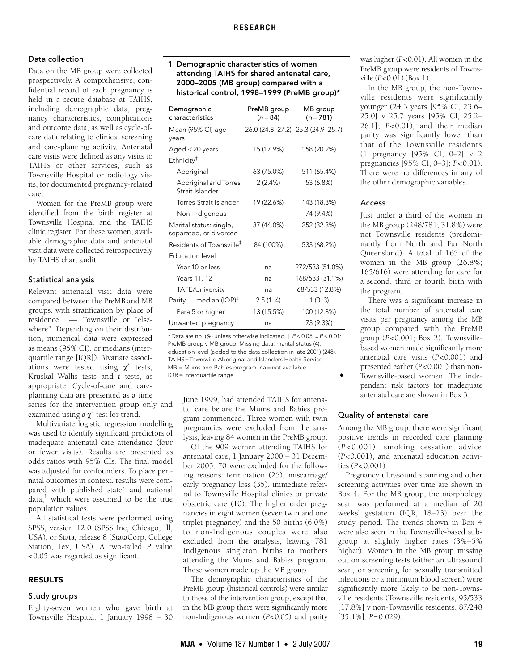# Data collection

Data on the MB group were collected prospectively. A comprehensive, confidential record of each pregnancy is held in a secure database at TAIHS, including demographic data, pregnancy characteristics, complications and outcome data, as well as cycle-ofcare data relating to clinical screening and care-planning activity. Antenatal care visits were defined as any visits to TAIHS or other services, such as Townsville Hospital or radiology visits, for documented pregnancy-related care.

Women for the PreMB group were identified from the birth register at Townsville Hospital and the TAIHS clinic register. For these women, available demographic data and antenatal visit data were collected retrospectively by TAIHS chart audit.

### Statistical analysis

Relevant antenatal visit data were compared between the PreMB and MB groups, with stratification by place of residence — Townsville or "elsewhere". Depending on their distribution, numerical data were expressed as means (95% CI), or medians (interquartile range [IQR]). Bivariate associations were tested using  $\chi^2$  tests, Kruskal–Wallis tests and *t* tests, as appropriate. Cycle-of-care and careplanning data are presented as a time series for the intervention group only and examined using a  $\chi^2$  test for trend.

Multivariate logistic regression modelling was used to identify significant predictors of inadequate antenatal care attendance (four or fewer visits). Results are presented as odds ratios with 95% CIs. The final model was adjusted for confounders. To place perinatal outcomes in context, results were compared with published state<sup>2</sup> and national  $data<sup>1</sup>$  which were assumed to be the true population values.

All statistical tests were performed using SPSS, version 12.0 (SPSS Inc, Chicago, Ill, USA), or Stata, release 8 (StataCorp, College Station, Tex, USA). A two-tailed *P* value <0.05 was regarded as significant.

## RESULTS

#### Study groups

Eighty-seven women who gave birth at Townsville Hospital, 1 January 1998 – 30

## 1 Demographic characteristics of women attending TAIHS for shared antenatal care, 2000–2005 (MB group) compared with a historical control, 1998–1999 (PreMB group)\*

| 15 (17.9%)<br>63 (75.0%)<br>2(2.4%)<br>19 (22.6%)<br>37 (44.0%) | 26.0 (24.8-27.2) 25.3 (24.9-25.7)<br>158 (20.2%)<br>511 (65.4%)<br>53 (6.8%)<br>143 (18.3%)<br>74 (9.4%)<br>252 (32.3%) |
|-----------------------------------------------------------------|-------------------------------------------------------------------------------------------------------------------------|
|                                                                 |                                                                                                                         |
|                                                                 |                                                                                                                         |
|                                                                 |                                                                                                                         |
|                                                                 |                                                                                                                         |
|                                                                 |                                                                                                                         |
|                                                                 |                                                                                                                         |
|                                                                 |                                                                                                                         |
|                                                                 |                                                                                                                         |
| 84 (100%)                                                       | 533 (68.2%)                                                                                                             |
|                                                                 |                                                                                                                         |
| na                                                              | 272/533 (51.0%)                                                                                                         |
| na                                                              | 168/533 (31.1%)                                                                                                         |
| na                                                              | 68/533 (12.8%)                                                                                                          |
| $2.5(1-4)$                                                      | $1(0-3)$                                                                                                                |
|                                                                 | 100 (12.8%)                                                                                                             |
|                                                                 | 73 (9.3%)                                                                                                               |
|                                                                 | 13 (15.5%)<br>na                                                                                                        |

\*Data are no. (%) unless otherwise indicated. † P < 0.05; ‡ P < 0.01: PreMB group v MB group. Missing data: marital status (4), education level (added to the data collection in late 2001) (248). TAIHS=Townsville Aboriginal and Islanders Health Service. MB = Mums and Babies program. na = not available.  $IQR =$  interquartile range.

June 1999, had attended TAIHS for antenatal care before the Mums and Babies program commenced. Three women with twin pregnancies were excluded from the analysis, leaving 84 women in the PreMB group.

Of the 909 women attending TAIHS for antenatal care, 1 January 2000 – 31 December 2005, 70 were excluded for the following reasons: termination (25), miscarriage/ early pregnancy loss (35), immediate referral to Townsville Hospital clinics or private obstetric care (10). The higher order pregnancies in eight women (seven twin and one triplet pregnancy) and the 50 births (6.0%) to non-Indigenous couples were also excluded from the analysis, leaving 781 Indigenous singleton births to mothers attending the Mums and Babies program. These women made up the MB group*.*

The demographic characteristics of the PreMB group (historical controls) were similar to those of the intervention group, except that in the MB group there were significantly more non-Indigenous women (*P*<0.05) and parity

was higher (*P*<0.01). All women in the PreMB group were residents of Townsville (*P*<0.01) (Box 1).

In the MB group, the non-Townsville residents were significantly younger (24.3 years [95% CI, 23.6– 25.0] v 25.7 years [95% CI, 25.2– 26.1]; *P*<0.01), and their median parity was significantly lower than that of the Townsville residents (1 pregnancy [95% CI, 0–2] v 2 pregnancies [95% CI, 0–3]; *P*<0.01). There were no differences in any of the other demographic variables.

### Access

Just under a third of the women in the MB group (248/781; 31.8%) were not Townsville residents (predominantly from North and Far North Queensland). A total of 165 of the women in the MB group (26.8%; 165/616) were attending for care for a second, third or fourth birth with the program.

There was a significant increase in the total number of antenatal care visits per pregnancy among the MB group compared with the PreMB group (*P*<0.001; Box 2). Townsvillebased women made significantly more antenatal care visits (*P*<0.001) and presented earlier (*P*<0.001) than non-Townsville-based women. The independent risk factors for inadequate antenatal care are shown in Box 3.

### Quality of antenatal care

Among the MB group, there were significant positive trends in recorded care planning (*P* <0.001), smoking cessation advice (*P*<0.001), and antenatal education activities (*P*<0.001).

Pregnancy ultrasound scanning and other screening activities over time are shown in Box 4. For the MB group, the morphology scan was performed at a median of 20 weeks' gestation (IQR, 18–23) over the study period. The trends shown in Box 4 were also seen in the Townsville-based subgroup at slightly higher rates (3%–5% higher). Women in the MB group missing out on screening tests (either an ultrasound scan, or screening for sexually transmitted infections or a minimum blood screen) were significantly more likely to be non-Townsville residents (Townsville residents, 95/533 [17.8%] v non-Townsville residents, 87/248  $[35.1\%]$ ;  $P=0.029$ ).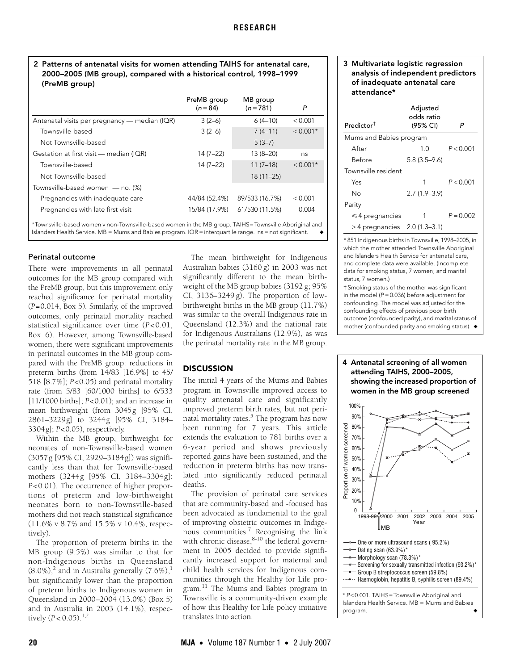## 2 Patterns of antenatal visits for women attending TAIHS for antenatal care, 2000–2005 (MB group), compared with a historical control, 1998–1999 (PreMB group)

| PreMB group<br>$(n = 84)$ | MB group<br>$(n = 781)$ | P          |
|---------------------------|-------------------------|------------|
| $3(2-6)$                  | $6(4-10)$               | < 0.001    |
| $3(2-6)$                  | $7(4-11)$               | $< 0.001*$ |
|                           | $5(3-7)$                |            |
| $14(7-22)$                | 13 (8-20)               | ns         |
| $14(7-22)$                | $11(7-18)$              | $< 0.001*$ |
|                           | $18(11 - 25)$           |            |
|                           |                         |            |
| 44/84 (52.4%)             | 89/533 (16.7%)          | < 0.001    |
| 15/84 (17.9%)             | 61/530 (11.5%)          | 0.004      |
|                           |                         |            |

\*Townsville-based women v non-Townsville-based women in the MB group. TAIHS=Townsville Aboriginal and Islanders Health Service. MB = Mums and Babies program. IQR = interquartile range. ns = not significant.

#### Perinatal outcome

There were improvements in all perinatal outcomes for the MB group compared with the PreMB group, but this improvement only reached significance for perinatal mortality (*P*=0.014, Box 5). Similarly, of the improved outcomes, only perinatal mortality reached statistical significance over time (*P*<0.01, Box 6). However, among Townsville-based women, there were significant improvements in perinatal outcomes in the MB group compared with the PreMB group: reductions in preterm births (from 14/83 [16.9%] to 45/ 518 [8.7%]; *P*<0.05) and perinatal mortality rate (from 5/83 [60/1000 births] to 6/533 [11/1000 births]; *P*<0.01); and an increase in mean birthweight (from 3045g [95% CI, 2861–3229g] to 3244g [95% CI, 3184– 3304g]; *P*<0.05), respectively.

Within the MB group, birthweight for neonates of non-Townsville-based women (3057g [95% CI, 2929–3184g]) was significantly less than that for Townsville-based mothers (3244g [95% CI, 3184–3304g]; *P*<0.01). The occurrence of higher proportions of preterm and low-birthweight neonates born to non-Townsville-based mothers did not reach statistical significance (11.6% v 8.7% and 15.5% v 10.4%, respectively).

The proportion of preterm births in the MB group (9.5%) was similar to that for non-Indigenous births in Queensland  $(8.0\%)$ ,<sup>[2](#page-4-0)</sup> and in Australia generally  $(7.6\%)$ ,<sup>[1](#page-3-0)</sup> but significantly lower than the proportion of preterm births to Indigenous women in Queensland in 2000–2004 (13.0%) (Box 5) and in Australia in 2003 (14.1%), respectively  $(P < 0.05)$ .<sup>[1](#page-3-0)[,2](#page-4-0)</sup>

The mean birthweight for Indigenous Australian babies (3160 g) in 2003 was not significantly different to the mean birthweight of the MB group babies (3192 g; 95% CI, 3136–3249 g). The proportion of lowbirthweight births in the MB group (11.7%) was similar to the overall Indigenous rate in Queensland (12.3%) and the national rate for Indigenous Australians (12.9%), as was the perinatal mortality rate in the MB group.

#### **DISCUSSION**

The initial 4 years of the Mums and Babies program in Townsville improved access to quality antenatal care and significantly improved preterm birth rates, but not perinatal mortality rates.<sup>5</sup> The program has now been running for 7 years. This article extends the evaluation to 781 births over a 6-year period and shows previously reported gains have been sustained, and the reduction in preterm births has now translated into significantly reduced perinatal deaths.

The provision of perinatal care services that are community-based and -focused has been advocated as fundamental to the goal of improving obstetric outcomes in Indigenous communities[.7](#page-4-6) Recognising the link with chronic disease,<sup>8-10</sup> the federal government in 2005 decided to provide significantly increased support for maternal and child health services for Indigenous communities through the Healthy for Life program.<sup>11</sup> The Mums and Babies program in Townsville is a community-driven example of how this Healthy for Life policy initiative translates into action.

#### 3 Multivariate logistic regression analysis of independent predictors of inadequate antenatal care attendance\*

| Predictor <sup>†</sup>          | Adjusted<br>odds ratio<br>(95% CI) | P           |  |  |  |  |
|---------------------------------|------------------------------------|-------------|--|--|--|--|
| Mums and Babies program         |                                    |             |  |  |  |  |
| After                           |                                    | P < 0.001   |  |  |  |  |
| Before                          | $5.8(3.5-9.6)$                     |             |  |  |  |  |
| Townsville resident             |                                    |             |  |  |  |  |
| Yes                             | 1                                  | P < 0.001   |  |  |  |  |
| N٥                              | $2.7(1.9-3.9)$                     |             |  |  |  |  |
| Parity                          |                                    |             |  |  |  |  |
| $\leq 4$ pregnancies            | 1                                  | $P = 0.002$ |  |  |  |  |
| $>$ 4 pregnancies 2.0 (1.3–3.1) |                                    |             |  |  |  |  |

\* 851 Indigenous births in Townsville, 1998–2005, in which the mother attended Townsville Aboriginal and Islanders Health Service for antenatal care, and complete data were available. (Incomplete data for smoking status, 7 women; and marital status, 7 women.)

† Smoking status of the mother was significant in the model ( $P = 0.036$ ) before adjustment for confounding. The model was adjusted for the confounding effects of previous poor birth outcome (confounded parity), and marital status of mother (confounded parity and smoking status). ◆



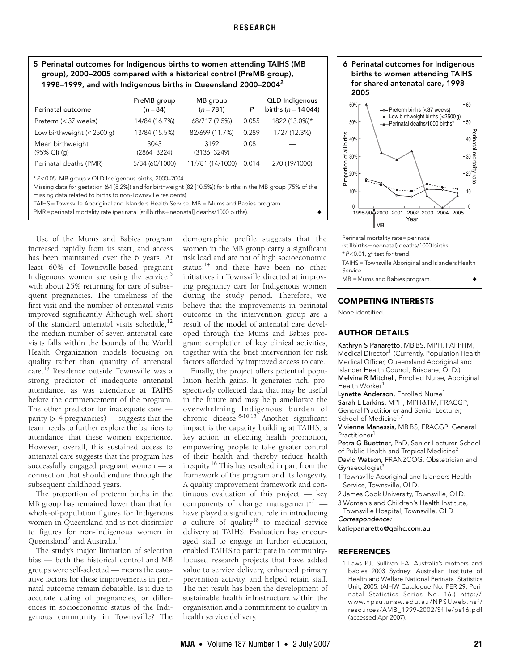## 5 Perinatal outcomes for Indigenous births to women attending TAIHS (MB group), 2000–2005 compared with a historical control (PreMB group), 1998–1999, and with Indigenous births in Queensland 2000–2004[2](#page-4-0)

| Perinatal outcome                                                                                                                                                       | PreMB group<br>$(n = 84)$ | MB group<br>$(n = 781)$ | P     | <b>QLD</b> Indigenous<br>births ( $n = 14044$ ) |  |  |
|-------------------------------------------------------------------------------------------------------------------------------------------------------------------------|---------------------------|-------------------------|-------|-------------------------------------------------|--|--|
| Preterm (< 37 weeks)                                                                                                                                                    | 14/84 (16.7%)             | 68/717 (9.5%)           | 0.055 | 1822 (13.0%)*                                   |  |  |
| Low birthweight $(< 2500$ g)                                                                                                                                            | 13/84 (15.5%)             | 82/699 (11.7%)          | 0.289 | 1727 (12.3%)                                    |  |  |
| Mean birthweight<br>$(95\% \text{ Cl})$ (q)                                                                                                                             | 3043<br>$(2864 - 3224)$   | 3192<br>$(3136 - 3249)$ | 0.081 |                                                 |  |  |
| Perinatal deaths (PMR)                                                                                                                                                  | 5/84 (60/1000)            | 11/781 (14/1000)        | 0.014 | 270 (19/1000)                                   |  |  |
| *P<0.05: MB group v QLD Indigenous births, 2000-2004.<br>Missing data for gestation (64 [8.2%]) and for birthweight (82 [10.5%]) for births in the MB group (75% of the |                           |                         |       |                                                 |  |  |

missing data related to births to non-Townsville residents).

TAIHS = Townsville Aboriginal and Islanders Health Service. MB = Mums and Babies program.

PMR=perinatal mortality rate (perinatal [stillbirths+neonatal] deaths/1000 births). ◆

Use of the Mums and Babies program increased rapidly from its start, and access has been maintained over the 6 years. At least 60% of Townsville-based pregnant Indigenous women are using the service, $5$ with about 25% returning for care of subsequent pregnancies. The timeliness of the first visit and the number of antenatal visits improved significantly. Although well short of the standard antenatal visits schedule,<sup>[12](#page-4-10)</sup> the median number of seven antenatal care visits falls within the bounds of the World Health Organization models focusing on quality rather than quantity of antenatal care.[13](#page-4-11) Residence outside Townsville was a strong predictor of inadequate antenatal attendance, as was attendance at TAIHS before the commencement of the program. The other predictor for inadequate care parity (> 4 pregnancies) — suggests that the team needs to further explore the barriers to attendance that these women experience. However, overall, this sustained access to antenatal care suggests that the program has successfully engaged pregnant women — a connection that should endure through the subsequent childhood years.

The proportion of preterm births in the MB group has remained lower than that for whole-of-population figures for Indigenous women in Queensland and is not dissimilar to figures for non-Indigenous women in Queensland<sup>[2](#page-4-0)</sup> and Australia.<sup>1</sup>

The study's major limitation of selection bias — both the historical control and MB groups were self-selected — means the causative factors for these improvements in perinatal outcome remain debatable. Is it due to accurate dating of pregnancies, or differences in socioeconomic status of the Indigenous community in Townsville? The

demographic profile suggests that the women in the MB group carry a significant risk load and are not of high socioeconomic status; $14$  and there have been no other initiatives in Townsville directed at improving pregnancy care for Indigenous women during the study period. Therefore, we believe that the improvements in perinatal outcome in the intervention group are a result of the model of antenatal care developed through the Mums and Babies program: completion of key clinical activities, together with the brief intervention for risk factors afforded by improved access to care.

Finally, the project offers potential population health gains. It generates rich, prospectively collected data that may be useful in the future and may help ameliorate the overwhelming Indigenous burden of chronic disease.<sup>[8-](#page-4-7)[10](#page-4-8)[,15](#page-4-13)</sup> Another significant impact is the capacity building at TAIHS, a key action in effecting health promotion, empowering people to take greater control of their health and thereby reduce health inequity[.16](#page-4-14) This has resulted in part from the framework of the program and its longevity. A quality improvement framework and continuous evaluation of this project — key components of change management $17$  have played a significant role in introducing a culture of quality<sup>18</sup> to medical service delivery at TAIHS. Evaluation has encouraged staff to engage in further education, enabled TAIHS to participate in communityfocused research projects that have added value to service delivery, enhanced primary prevention activity, and helped retain staff. The net result has been the development of sustainable health infrastructure within the organisation and a commitment to quality in health service delivery.

#### 6 Perinatal outcomes for Indigenous births to women attending TAIHS for shared antenatal care, 1998– 2005



## COMPETING INTERESTS

None identified.

# AUTHOR DETAILS

Kathryn S Panaretto, MB BS, MPH, FAFPHM, Medical Director<sup>1</sup> (Currently, Population Health Medical Officer, Queensland Aboriginal and Islander Health Council, Brisbane, QLD.) Melvina R Mitchell, Enrolled Nurse, Aboriginal Health Worker<sup>1</sup>

Lynette Anderson, Enrolled Nurse<sup>1</sup>

Sarah L Larkins, MPH, MPH&TM, FRACGP, General Practitioner and Senior Lecturer, School of Medicine<sup>1,2</sup>

Vivienne Manessis, MB BS, FRACGP, General Practitioner<sup>1</sup>

Petra G Buettner, PhD, Senior Lecturer, School of Public Health and Tropical Medicine<sup>2</sup> David Watson, FRANZCOG, Obstetrician and Gynaecologist<sup>3</sup>

- 1 Townsville Aboriginal and Islanders Health Service, Townsville, QLD.
- 2 James Cook University, Townsville, QLD.
- 3 Women's and Children's Health Institute, Townsville Hospital, Townsville, QLD.

Correspondence:

katiepanaretto@qaihc.com.au

### **REFERENCES**

<span id="page-3-0"></span>1 Laws PJ, Sullivan EA. Australia's mothers and babies 2003 Sydney: Australian Institute of Health and Welfare National Perinatal Statistics Unit, 2005. (AIHW Catalogue No. PER 29; Perinatal Statistics Series No. 16.) http:// www.npsu.unsw.edu.au/NPSUweb.nsf/ resources/AMB\_1999-2002/\$file/ps16.pdf (accessed Apr 2007).